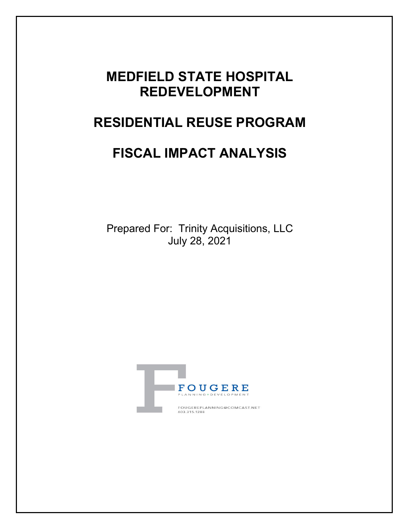# **MEDFIELD STATE HOSPITAL REDEVELOPMENT**

# **RESIDENTIAL REUSE PROGRAM**

# **FISCAL IMPACT ANALYSIS**

Prepared For: Trinity Acquisitions, LLC July 28, 2021

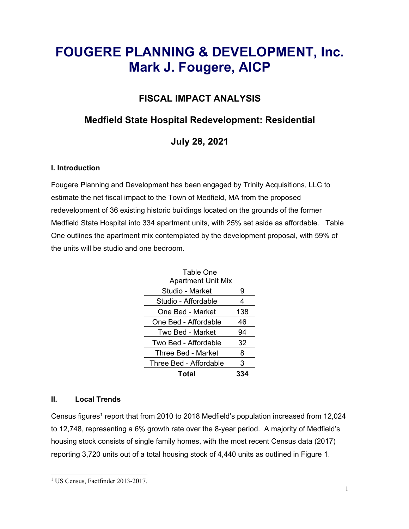# **FOUGERE PLANNING & DEVELOPMENT, Inc. Mark J. Fougere, AICP**

## **FISCAL IMPACT ANALYSIS**

## **Medfield State Hospital Redevelopment: Residential**

**July 28, 2021** 

## **I. Introduction**

Fougere Planning and Development has been engaged by Trinity Acquisitions, LLC to estimate the net fiscal impact to the Town of Medfield, MA from the proposed redevelopment of 36 existing historic buildings located on the grounds of the former Medfield State Hospital into 334 apartment units, with 25% set aside as affordable. Table One outlines the apartment mix contemplated by the development proposal, with 59% of the units will be studio and one bedroom.

| Table One<br><b>Apartment Unit Mix</b> |     |
|----------------------------------------|-----|
| Studio - Market                        | 9   |
| Studio - Affordable                    | 4   |
| One Bed - Market                       | 138 |
| One Bed - Affordable                   | 46  |
| Two Bed - Market                       | 94  |
| Two Bed - Affordable                   | 32  |
| Three Bed - Market                     | 8   |
| Three Bed - Affordable                 | 3   |
| Total                                  |     |

## **II. Local Trends**

Census figures<sup>1</sup> report that from 2010 to 2018 Medfield's population increased from 12,024 to 12,748, representing a 6% growth rate over the 8-year period. A majority of Medfield's housing stock consists of single family homes, with the most recent Census data (2017) reporting 3,720 units out of a total housing stock of 4,440 units as outlined in Figure 1.

 $\overline{a}$ <sup>1</sup> US Census, Factfinder 2013-2017.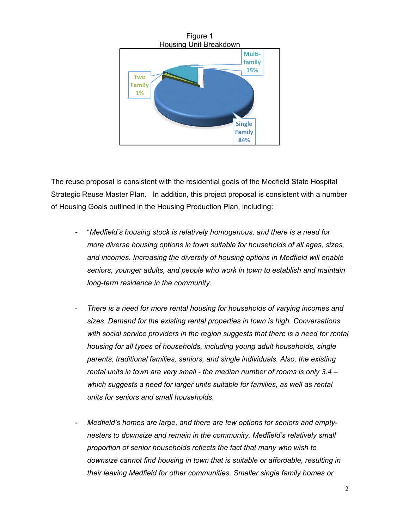

The reuse proposal is consistent with the residential goals of the Medfield State Hospital Strategic Reuse Master Plan. In addition, this project proposal is consistent with a number of Housing Goals outlined in the Housing Production Plan, including:

- "Medfield's housing stock is relatively homogenous, and there is a need for *more diverse housing options in town suitable for households of all ages, sizes, and incomes. Increasing the diversity of housing options in Medfield will enable seniors, younger adults, and people who work in town to establish and maintain long-term residence in the community.*
- *There is a need for more rental housing for households of varying incomes and sizes. Demand for the existing rental properties in town is high. Conversations*  with social service providers in the region suggests that there is a need for rental *housing for all types of households, including young adult households, single parents, traditional families, seniors, and single individuals. Also, the existing rental units in town are very small - the median number of rooms is only 3.4 – which suggests a need for larger units suitable for families, as well as rental units for seniors and small households.*
- Medfield's homes are large, and there are few options for seniors and empty*nesters to downsize and remain in the community. Medfield's relatively small proportion of senior households reflects the fact that many who wish to downsize cannot find housing in town that is suitable or affordable, resulting in their leaving Medfield for other communities. Smaller single family homes or*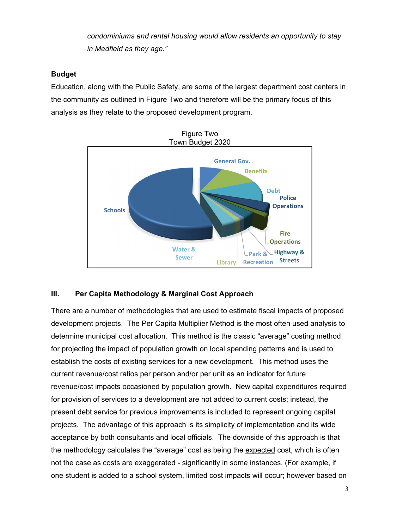*condominiums and rental housing would allow residents an opportunity to stay in Medfield as they age."* 

### **Budget**

Education, along with the Public Safety, are some of the largest department cost centers in the community as outlined in Figure Two and therefore will be the primary focus of this analysis as they relate to the proposed development program.



## **III. Per Capita Methodology & Marginal Cost Approach**

There are a number of methodologies that are used to estimate fiscal impacts of proposed development projects. The Per Capita Multiplier Method is the most often used analysis to determine municipal cost allocation. This method is the classic "average" costing method for projecting the impact of population growth on local spending patterns and is used to establish the costs of existing services for a new development. This method uses the current revenue/cost ratios per person and/or per unit as an indicator for future revenue/cost impacts occasioned by population growth. New capital expenditures required for provision of services to a development are not added to current costs; instead, the present debt service for previous improvements is included to represent ongoing capital projects. The advantage of this approach is its simplicity of implementation and its wide acceptance by both consultants and local officials. The downside of this approach is that the methodology calculates the "average" cost as being the expected cost, which is often not the case as costs are exaggerated - significantly in some instances. (For example, if one student is added to a school system, limited cost impacts will occur; however based on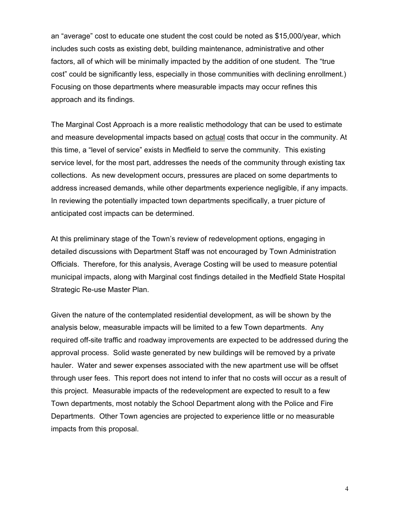an "average" cost to educate one student the cost could be noted as \$15,000/year, which includes such costs as existing debt, building maintenance, administrative and other factors, all of which will be minimally impacted by the addition of one student. The "true cost" could be significantly less, especially in those communities with declining enrollment.) Focusing on those departments where measurable impacts may occur refines this approach and its findings.

The Marginal Cost Approach is a more realistic methodology that can be used to estimate and measure developmental impacts based on actual costs that occur in the community. At this time, a "level of service" exists in Medfield to serve the community. This existing service level, for the most part, addresses the needs of the community through existing tax collections. As new development occurs, pressures are placed on some departments to address increased demands, while other departments experience negligible, if any impacts. In reviewing the potentially impacted town departments specifically, a truer picture of anticipated cost impacts can be determined.

At this preliminary stage of the Town's review of redevelopment options, engaging in detailed discussions with Department Staff was not encouraged by Town Administration Officials. Therefore, for this analysis, Average Costing will be used to measure potential municipal impacts, along with Marginal cost findings detailed in the Medfield State Hospital Strategic Re-use Master Plan.

Given the nature of the contemplated residential development, as will be shown by the analysis below, measurable impacts will be limited to a few Town departments. Any required off-site traffic and roadway improvements are expected to be addressed during the approval process. Solid waste generated by new buildings will be removed by a private hauler. Water and sewer expenses associated with the new apartment use will be offset through user fees. This report does not intend to infer that no costs will occur as a result of this project. Measurable impacts of the redevelopment are expected to result to a few Town departments, most notably the School Department along with the Police and Fire Departments. Other Town agencies are projected to experience little or no measurable impacts from this proposal.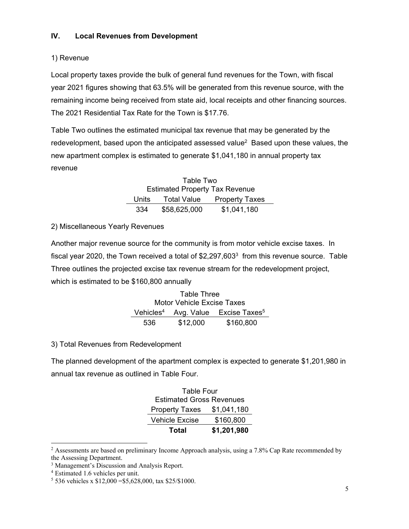## 1) Revenue

Local property taxes provide the bulk of general fund revenues for the Town, with fiscal year 2021 figures showing that 63.5% will be generated from this revenue source, with the remaining income being received from state aid, local receipts and other financing sources. The 2021 Residential Tax Rate for the Town is \$17.76.

Table Two outlines the estimated municipal tax revenue that may be generated by the redevelopment, based upon the anticipated assessed value2 Based upon these values, the new apartment complex is estimated to generate \$1,041,180 in annual property tax revenue

> Table Two Estimated Property Tax Revenue Units Total Value Property Taxes 334 \$58,625,000 \$1,041,180

2) Miscellaneous Yearly Revenues

Another major revenue source for the community is from motor vehicle excise taxes. In fiscal year 2020, the Town received a total of \$2,297,6033 from this revenue source. Table Three outlines the projected excise tax revenue stream for the redevelopment project, which is estimated to be \$160,800 annually

> Table Three Motor Vehicle Excise Taxes Vehicles<sup>4</sup> Avg. Value Excise Taxes<sup>5</sup> 536 \$12,000 \$160,800

3) Total Revenues from Redevelopment

The planned development of the apartment complex is expected to generate \$1,201,980 in annual tax revenue as outlined in Table Four.

| Table Four                      |             |
|---------------------------------|-------------|
| <b>Estimated Gross Revenues</b> |             |
| <b>Property Taxes</b>           | \$1,041,180 |
| <b>Vehicle Excise</b>           | \$160,800   |
| Total                           | \$1,201,980 |

 $\overline{a}$ <sup>2</sup> Assessments are based on preliminary Income Approach analysis, using a 7.8% Cap Rate recommended by the Assessing Department.

<sup>&</sup>lt;sup>3</sup> Management's Discussion and Analysis Report.

<sup>4</sup> Estimated 1.6 vehicles per unit.

<sup>5</sup> 536 vehicles x \$12,000 =\$5,628,000, tax \$25/\$1000.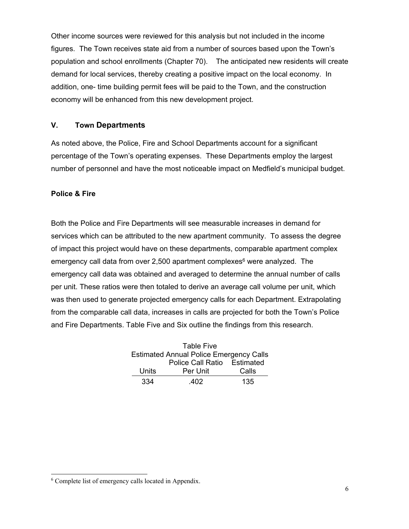Other income sources were reviewed for this analysis but not included in the income figures. The Town receives state aid from a number of sources based upon the Town's population and school enrollments (Chapter 70). The anticipated new residents will create demand for local services, thereby creating a positive impact on the local economy. In addition, one- time building permit fees will be paid to the Town, and the construction economy will be enhanced from this new development project.

#### **V. Town Departments**

As noted above, the Police, Fire and School Departments account for a significant percentage of the Town's operating expenses. These Departments employ the largest number of personnel and have the most noticeable impact on Medfield's municipal budget.

#### **Police & Fire**

Both the Police and Fire Departments will see measurable increases in demand for services which can be attributed to the new apartment community. To assess the degree of impact this project would have on these departments, comparable apartment complex emergency call data from over 2,500 apartment complexes $6$  were analyzed. The emergency call data was obtained and averaged to determine the annual number of calls per unit. These ratios were then totaled to derive an average call volume per unit, which was then used to generate projected emergency calls for each Department. Extrapolating from the comparable call data, increases in calls are projected for both the Town's Police and Fire Departments. Table Five and Six outline the findings from this research.

|       | <b>Table Five</b>                              |       |
|-------|------------------------------------------------|-------|
|       | <b>Estimated Annual Police Emergency Calls</b> |       |
|       | Police Call Ratio Estimated                    |       |
| Units | Per Unit                                       | Calls |
| 334   | 402                                            | 135   |

<sup>6</sup> Complete list of emergency calls located in Appendix.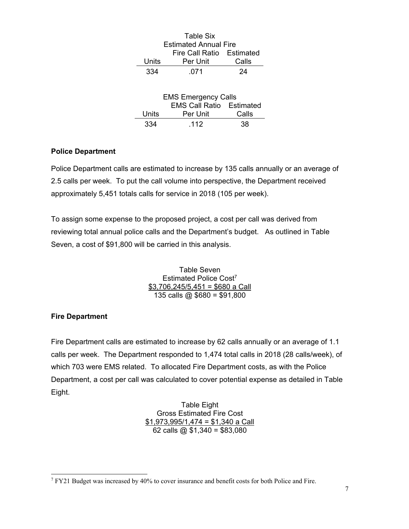|       | Table Six<br><b>Estimated Annual Fire</b> |       |
|-------|-------------------------------------------|-------|
|       | Fire Call Ratio Estimated                 |       |
| Units | Per Unit                                  | Calls |
| 334   | .071                                      | 24    |
|       |                                           |       |
|       | <b>EMS Emergency Calls</b>                |       |
|       | <b>EMS Call Ratio Estimated</b>           |       |
| Units | Per Unit                                  | Calls |
| 334   | -112                                      |       |

### **Police Department**

Police Department calls are estimated to increase by 135 calls annually or an average of 2.5 calls per week. To put the call volume into perspective, the Department received approximately 5,451 totals calls for service in 2018 (105 per week).

To assign some expense to the proposed project, a cost per call was derived from reviewing total annual police calls and the Department's budget. As outlined in Table Seven, a cost of \$91,800 will be carried in this analysis.

> Table Seven Estimated Police Cost<sup>7</sup>  $$3,706,245/5,451 = $680$  a Call 135 calls @  $$680 = $91,800$

## **Fire Department**

Fire Department calls are estimated to increase by 62 calls annually or an average of 1.1 calls per week. The Department responded to 1,474 total calls in 2018 (28 calls/week), of which 703 were EMS related. To allocated Fire Department costs, as with the Police Department, a cost per call was calculated to cover potential expense as detailed in Table Eight.

> Table Eight Gross Estimated Fire Cost \$1,973,995/1,474 = \$1,340 a Call 62 calls @  $$1,340 = $83,080$

 $\overline{a}$ 7 FY21 Budget was increased by 40% to cover insurance and benefit costs for both Police and Fire.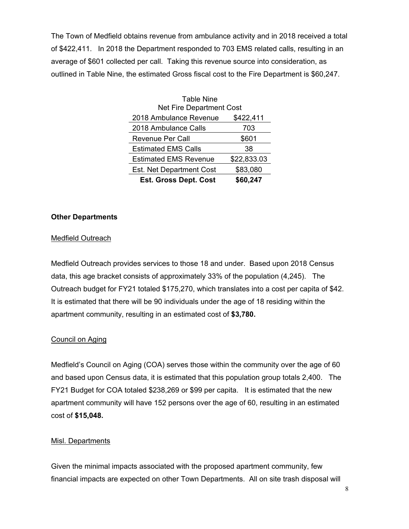The Town of Medfield obtains revenue from ambulance activity and in 2018 received a total of \$422,411. In 2018 the Department responded to 703 EMS related calls, resulting in an average of \$601 collected per call. Taking this revenue source into consideration, as outlined in Table Nine, the estimated Gross fiscal cost to the Fire Department is \$60,247.

| <b>Table Nine</b>               |             |
|---------------------------------|-------------|
| Net Fire Department Cost        |             |
| 2018 Ambulance Revenue          | \$422,411   |
| 2018 Ambulance Calls            | 703         |
| Revenue Per Call                | \$601       |
| <b>Estimated EMS Calls</b>      | 38          |
| <b>Estimated EMS Revenue</b>    | \$22,833.03 |
| <b>Est. Net Department Cost</b> | \$83,080    |
| <b>Est. Gross Dept. Cost</b>    | \$60,247    |

#### **Other Departments**

#### Medfield Outreach

Medfield Outreach provides services to those 18 and under. Based upon 2018 Census data, this age bracket consists of approximately 33% of the population (4,245). The Outreach budget for FY21 totaled \$175,270, which translates into a cost per capita of \$42. It is estimated that there will be 90 individuals under the age of 18 residing within the apartment community, resulting in an estimated cost of **\$3,780.** 

#### Council on Aging

Medfield's Council on Aging (COA) serves those within the community over the age of 60 and based upon Census data, it is estimated that this population group totals 2,400. The FY21 Budget for COA totaled \$238,269 or \$99 per capita. It is estimated that the new apartment community will have 152 persons over the age of 60, resulting in an estimated cost of **\$15,048.** 

#### Misl. Departments

Given the minimal impacts associated with the proposed apartment community, few financial impacts are expected on other Town Departments. All on site trash disposal will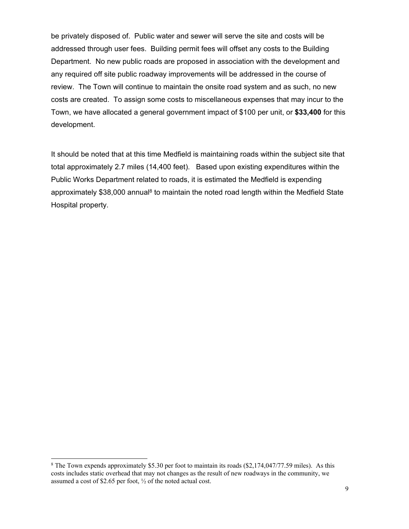be privately disposed of. Public water and sewer will serve the site and costs will be addressed through user fees. Building permit fees will offset any costs to the Building Department. No new public roads are proposed in association with the development and any required off site public roadway improvements will be addressed in the course of review. The Town will continue to maintain the onsite road system and as such, no new costs are created. To assign some costs to miscellaneous expenses that may incur to the Town, we have allocated a general government impact of \$100 per unit, or **\$33,400** for this development.

It should be noted that at this time Medfield is maintaining roads within the subject site that total approximately 2.7 miles (14,400 feet). Based upon existing expenditures within the Public Works Department related to roads, it is estimated the Medfield is expending approximately  $$38,000$  annual<sup>8</sup> to maintain the noted road length within the Medfield State Hospital property.

<sup>&</sup>lt;sup>8</sup> The Town expends approximately \$5.30 per foot to maintain its roads (\$2,174,047/77.59 miles). As this costs includes static overhead that may not changes as the result of new roadways in the community, we assumed a cost of \$2.65 per foot, ½ of the noted actual cost.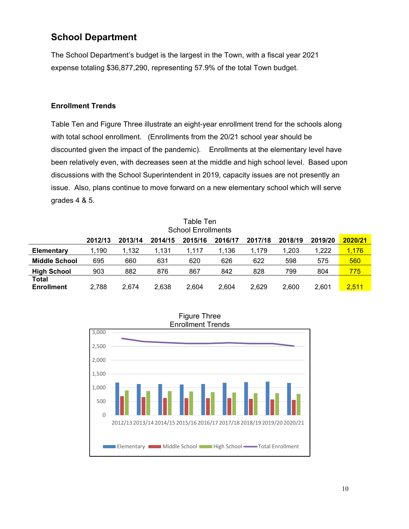## **School Department**

The School Department's budget is the largest in the Town, with a fiscal year 2021 expense totaling \$36,877,290, representing 57.9% of the total Town budget.

#### **Enrollment Trends**

Table Ten and Figure Three illustrate an eight-year enrollment trend for the schools along with total school enrollment. (Enrollments from the 20/21 school year should be discounted given the impact of the pandemic). Enrollments at the elementary level have been relatively even, with decreases seen at the middle and high school level. Based upon discussions with the School Superintendent in 2019, capacity issues are not presently an issue. Also, plans continue to move forward on a new elementary school which will serve grades 4 & 5.

|                            |         |         |         | Table Ten<br><b>School Enrollments</b> |         |         |         |         |         |
|----------------------------|---------|---------|---------|----------------------------------------|---------|---------|---------|---------|---------|
|                            | 2012/13 | 2013/14 | 2014/15 | 2015/16                                | 2016/17 | 2017/18 | 2018/19 | 2019/20 | 2020/21 |
| Elementary                 | 1.190   | 1,132   | 1,131   | 1.117                                  | 1,136   | 1.179   | 1,203   | 1,222   | 1,176   |
| <b>Middle School</b>       | 695     | 660     | 631     | 620                                    | 626     | 622     | 598     | 575     | 560     |
| <b>High School</b>         | 903     | 882     | 876     | 867                                    | 842     | 828     | 799     | 804     | 775     |
| Total<br><b>Enrollment</b> | 2,788   | 2.674   | 2.638   | 2.604                                  | 2.604   | 2,629   | 2.600   | 2,601   | 2,511   |



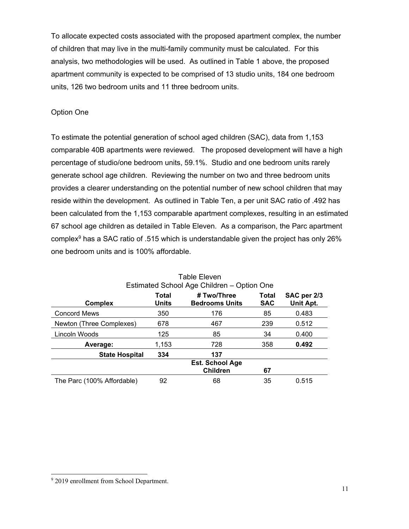To allocate expected costs associated with the proposed apartment complex, the number of children that may live in the multi-family community must be calculated. For this analysis, two methodologies will be used. As outlined in Table 1 above, the proposed apartment community is expected to be comprised of 13 studio units, 184 one bedroom units, 126 two bedroom units and 11 three bedroom units.

### Option One

To estimate the potential generation of school aged children (SAC), data from 1,153 comparable 40B apartments were reviewed. The proposed development will have a high percentage of studio/one bedroom units, 59.1%. Studio and one bedroom units rarely generate school age children. Reviewing the number on two and three bedroom units provides a clearer understanding on the potential number of new school children that may reside within the development. As outlined in Table Ten, a per unit SAC ratio of .492 has been calculated from the 1,153 comparable apartment complexes, resulting in an estimated 67 school age children as detailed in Table Eleven. As a comparison, the Parc apartment complex9 has a SAC ratio of .515 which is understandable given the project has only 26% one bedroom units and is 100% affordable.

| Estimated School Age Children – Option One |                |                                      |                     |                          |  |  |
|--------------------------------------------|----------------|--------------------------------------|---------------------|--------------------------|--|--|
| <b>Complex</b>                             | Total<br>Units | # Two/Three<br><b>Bedrooms Units</b> | Total<br><b>SAC</b> | SAC per 2/3<br>Unit Apt. |  |  |
| <b>Concord Mews</b>                        | 350            | 176                                  | 85                  | 0.483                    |  |  |
| Newton (Three Complexes)                   | 678            | 467                                  | 239                 | 0.512                    |  |  |
| Lincoln Woods                              | 125            | 85                                   | 34                  | 0.400                    |  |  |
| Average:                                   | 1,153          | 728                                  | 358                 | 0.492                    |  |  |
| <b>State Hospital</b>                      | 334            | 137                                  |                     |                          |  |  |
|                                            |                | Est. School Age<br><b>Children</b>   | 67                  |                          |  |  |
| The Parc (100% Affordable)                 | 92             | 68                                   | 35                  | 0.515                    |  |  |

| <b>Table Eleven</b>                        |
|--------------------------------------------|
| Estimated School Age Children - Option One |

<sup>&</sup>lt;sup>9</sup> 2019 enrollment from School Department.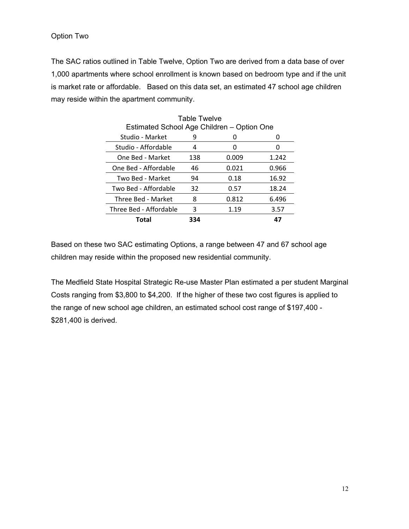The SAC ratios outlined in Table Twelve, Option Two are derived from a data base of over 1,000 apartments where school enrollment is known based on bedroom type and if the unit is market rate or affordable. Based on this data set, an estimated 47 school age children may reside within the apartment community.

|                                            | <b>Table Twelve</b> |       |       |
|--------------------------------------------|---------------------|-------|-------|
| Estimated School Age Children - Option One |                     |       |       |
| Studio - Market                            | 9                   |       |       |
| Studio - Affordable                        | 4                   | O     | 0     |
| One Bed - Market                           | 138                 | 0.009 | 1.242 |
| One Bed - Affordable                       | 46                  | 0.021 | 0.966 |
| Two Bed - Market                           | 94                  | 0.18  | 16.92 |
| Two Bed - Affordable                       | 32                  | 0.57  | 18.24 |
| Three Bed - Market                         | 8                   | 0.812 | 6.496 |
| Three Bed - Affordable                     | 3                   | 1.19  | 3.57  |
| Total                                      | 334                 |       | 47    |

Based on these two SAC estimating Options, a range between 47 and 67 school age children may reside within the proposed new residential community.

The Medfield State Hospital Strategic Re-use Master Plan estimated a per student Marginal Costs ranging from \$3,800 to \$4,200. If the higher of these two cost figures is applied to the range of new school age children, an estimated school cost range of \$197,400 - \$281,400 is derived.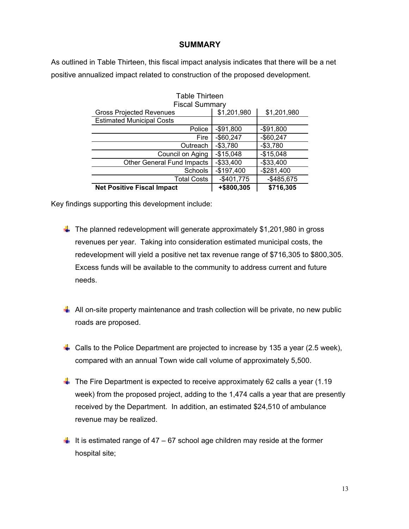#### **SUMMARY**

As outlined in Table Thirteen, this fiscal impact analysis indicates that there will be a net positive annualized impact related to construction of the proposed development.

| <b>Table Thirteen</b>             |             |             |
|-----------------------------------|-------------|-------------|
| <b>Fiscal Summary</b>             |             |             |
| <b>Gross Projected Revenues</b>   | \$1,201,980 | \$1,201,980 |
| <b>Estimated Municipal Costs</b>  |             |             |
| Police                            | $-$91,800$  | $-$91,800$  |
| Fire                              | $-$60,247$  | $-$60,247$  |
| Outreach                          | $-$3,780$   | $-$3,780$   |
| Council on Aging                  | $-$15,048$  | $-$15,048$  |
| <b>Other General Fund Impacts</b> | $-$33,400$  | $-$33,400$  |
| <b>Schools</b>                    | $-$197,400$ | $-$281,400$ |
| <b>Total Costs</b>                | $-$401,775$ | $-$485,675$ |
| <b>Net Positive Fiscal Impact</b> | +\$800,305  | \$716,305   |

Key findings supporting this development include:

- $\ddagger$  The planned redevelopment will generate approximately \$1,201,980 in gross revenues per year. Taking into consideration estimated municipal costs, the redevelopment will yield a positive net tax revenue range of \$716,305 to \$800,305. Excess funds will be available to the community to address current and future needs.
- $\downarrow$  All on-site property maintenance and trash collection will be private, no new public roads are proposed.
- **L** Calls to the Police Department are projected to increase by 135 a year (2.5 week), compared with an annual Town wide call volume of approximately 5,500.
- $\downarrow$  The Fire Department is expected to receive approximately 62 calls a year (1.19 week) from the proposed project, adding to the 1,474 calls a year that are presently received by the Department. In addition, an estimated \$24,510 of ambulance revenue may be realized.
- It is estimated range of 47 67 school age children may reside at the former hospital site;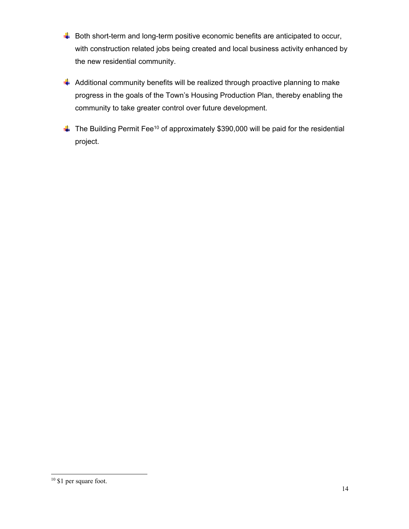- $\downarrow$  Both short-term and long-term positive economic benefits are anticipated to occur, with construction related jobs being created and local business activity enhanced by the new residential community.
- $\frac{1}{2}$  Additional community benefits will be realized through proactive planning to make progress in the goals of the Town's Housing Production Plan, thereby enabling the community to take greater control over future development.
- $\triangleq$  The Building Permit Fee<sup>10</sup> of approximately \$390,000 will be paid for the residential project.

<sup>&</sup>lt;sup>10</sup> \$1 per square foot.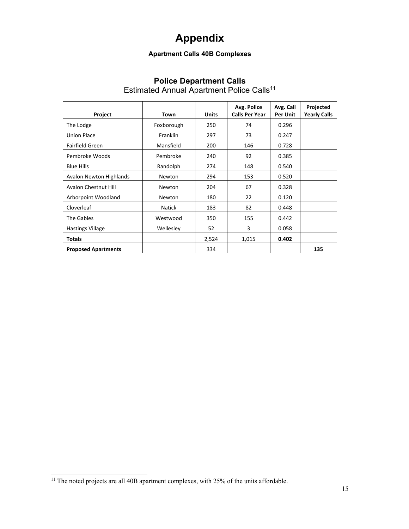# **Appendix**

## **Apartment Calls 40B Complexes**

## **Police Department Calls**

Estimated Annual Apartment Police Calls<sup>11</sup>

| Project                     | Town            | <b>Units</b> | Avg. Police<br><b>Calls Per Year</b> | Avg. Call<br>Per Unit | Projected<br><b>Yearly Calls</b> |
|-----------------------------|-----------------|--------------|--------------------------------------|-----------------------|----------------------------------|
| The Lodge                   | Foxborough      | 250          | 74                                   | 0.296                 |                                  |
| <b>Union Place</b>          | <b>Franklin</b> | 297          | 73                                   | 0.247                 |                                  |
| Fairfield Green             | Mansfield       | 200          | 146                                  | 0.728                 |                                  |
| Pembroke Woods              | Pembroke        | 240          | 92                                   | 0.385                 |                                  |
| <b>Blue Hills</b>           | Randolph        | 274          | 148                                  | 0.540                 |                                  |
| Avalon Newton Highlands     | Newton          | 294          | 153                                  | 0.520                 |                                  |
| <b>Avalon Chestnut Hill</b> | Newton          | 204          | 67                                   | 0.328                 |                                  |
| Arborpoint Woodland         | Newton          | 180          | 22                                   | 0.120                 |                                  |
| Cloverleaf                  | <b>Natick</b>   | 183          | 82                                   | 0.448                 |                                  |
| The Gables                  | Westwood        | 350          | 155                                  | 0.442                 |                                  |
| <b>Hastings Village</b>     | Wellesley       | 52           | 3                                    | 0.058                 |                                  |
| <b>Totals</b>               |                 | 2,524        | 1,015                                | 0.402                 |                                  |
| <b>Proposed Apartments</b>  |                 | 334          |                                      |                       | 135                              |

 $11$  The noted projects are all 40B apartment complexes, with 25% of the units affordable.